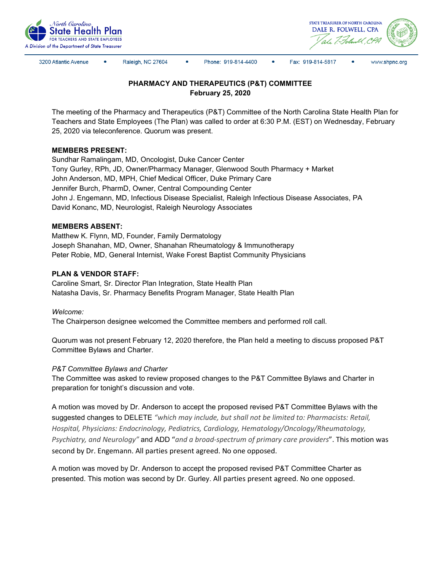



3200 Atlantic Avenue

Raleigh, NC 27604

Phone: 919-814-4400

Fax: 919-814-5817

www.shpnc.org

# **PHARMACY AND THERAPEUTICS (P&T) COMMITTEE February 25, 2020**

The meeting of the Pharmacy and Therapeutics (P&T) Committee of the North Carolina State Health Plan for Teachers and State Employees (The Plan) was called to order at 6:30 P.M. (EST) on Wednesday, February 25, 2020 via teleconference. Quorum was present.

## **MEMBERS PRESENT:**

Sundhar Ramalingam, MD, Oncologist, Duke Cancer Center Tony Gurley, RPh, JD, Owner/Pharmacy Manager, Glenwood South Pharmacy + Market John Anderson, MD, MPH, Chief Medical Officer, Duke Primary Care Jennifer Burch, PharmD, Owner, Central Compounding Center John J. Engemann, MD, Infectious Disease Specialist, Raleigh Infectious Disease Associates, PA David Konanc, MD, Neurologist, Raleigh Neurology Associates

### **MEMBERS ABSENT:**

Matthew K. Flynn, MD, Founder, Family Dermatology Joseph Shanahan, MD, Owner, Shanahan Rheumatology & Immunotherapy Peter Robie, MD, General Internist, Wake Forest Baptist Community Physicians

### **PLAN & VENDOR STAFF:**

Caroline Smart, Sr. Director Plan Integration, State Health Plan Natasha Davis, Sr. Pharmacy Benefits Program Manager, State Health Plan

#### *Welcome:*

The Chairperson designee welcomed the Committee members and performed roll call.

Quorum was not present February 12, 2020 therefore, the Plan held a meeting to discuss proposed P&T Committee Bylaws and Charter.

## *P&T Committee Bylaws and Charter*

The Committee was asked to review proposed changes to the P&T Committee Bylaws and Charter in preparation for tonight's discussion and vote.

A motion was moved by Dr. Anderson to accept the proposed revised P&T Committee Bylaws with the suggested changes to DELETE *"which may include, but shall not be limited to: Pharmacists: Retail, Hospital, Physicians: Endocrinology, Pediatrics, Cardiology, Hematology/Oncology/Rheumatology, Psychiatry, and Neurology"* and ADD "*and a broad-spectrum of primary care providers*". This motion was second by Dr. Engemann. All parties present agreed. No one opposed.

A motion was moved by Dr. Anderson to accept the proposed revised P&T Committee Charter as presented. This motion was second by Dr. Gurley. All parties present agreed. No one opposed.